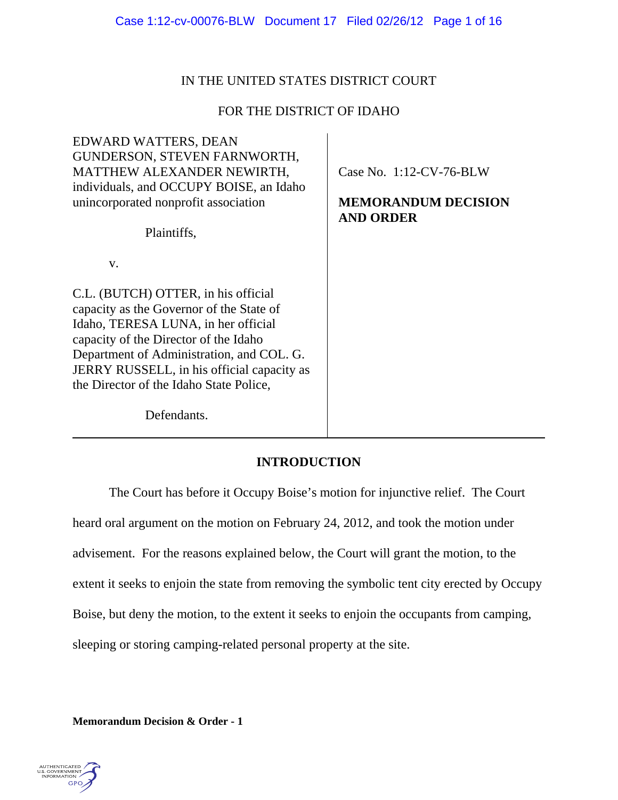# IN THE UNITED STATES DISTRICT COURT

# FOR THE DISTRICT OF IDAHO

| EDWARD WATTERS, DEAN<br>GUNDERSON, STEVEN FARNWORTH,<br>MATTHEW ALEXANDER NEWIRTH,<br>individuals, and OCCUPY BOISE, an Idaho<br>unincorporated nonprofit association<br>Plaintiffs,<br>V.                                                                                                                           | Case No. 1:12-CV-76-BLW<br><b>MEMORANDUM DECISION</b><br><b>AND ORDER</b> |
|----------------------------------------------------------------------------------------------------------------------------------------------------------------------------------------------------------------------------------------------------------------------------------------------------------------------|---------------------------------------------------------------------------|
| C.L. (BUTCH) OTTER, in his official<br>capacity as the Governor of the State of<br>Idaho, TERESA LUNA, in her official<br>capacity of the Director of the Idaho<br>Department of Administration, and COL. G.<br>JERRY RUSSELL, in his official capacity as<br>the Director of the Idaho State Police,<br>Defendants. |                                                                           |

# **INTRODUCTION**

The Court has before it Occupy Boise's motion for injunctive relief. The Court heard oral argument on the motion on February 24, 2012, and took the motion under advisement. For the reasons explained below, the Court will grant the motion, to the extent it seeks to enjoin the state from removing the symbolic tent city erected by Occupy Boise, but deny the motion, to the extent it seeks to enjoin the occupants from camping, sleeping or storing camping-related personal property at the site.

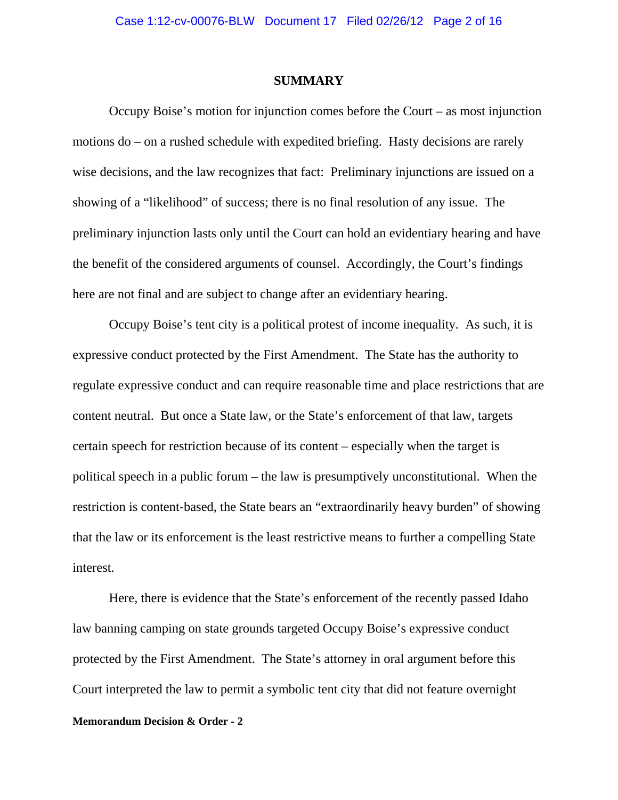#### **SUMMARY**

Occupy Boise's motion for injunction comes before the Court – as most injunction motions do – on a rushed schedule with expedited briefing. Hasty decisions are rarely wise decisions, and the law recognizes that fact: Preliminary injunctions are issued on a showing of a "likelihood" of success; there is no final resolution of any issue. The preliminary injunction lasts only until the Court can hold an evidentiary hearing and have the benefit of the considered arguments of counsel. Accordingly, the Court's findings here are not final and are subject to change after an evidentiary hearing.

Occupy Boise's tent city is a political protest of income inequality. As such, it is expressive conduct protected by the First Amendment. The State has the authority to regulate expressive conduct and can require reasonable time and place restrictions that are content neutral. But once a State law, or the State's enforcement of that law, targets certain speech for restriction because of its content – especially when the target is political speech in a public forum – the law is presumptively unconstitutional. When the restriction is content-based, the State bears an "extraordinarily heavy burden" of showing that the law or its enforcement is the least restrictive means to further a compelling State interest.

Here, there is evidence that the State's enforcement of the recently passed Idaho law banning camping on state grounds targeted Occupy Boise's expressive conduct protected by the First Amendment. The State's attorney in oral argument before this Court interpreted the law to permit a symbolic tent city that did not feature overnight **Memorandum Decision & Order - 2**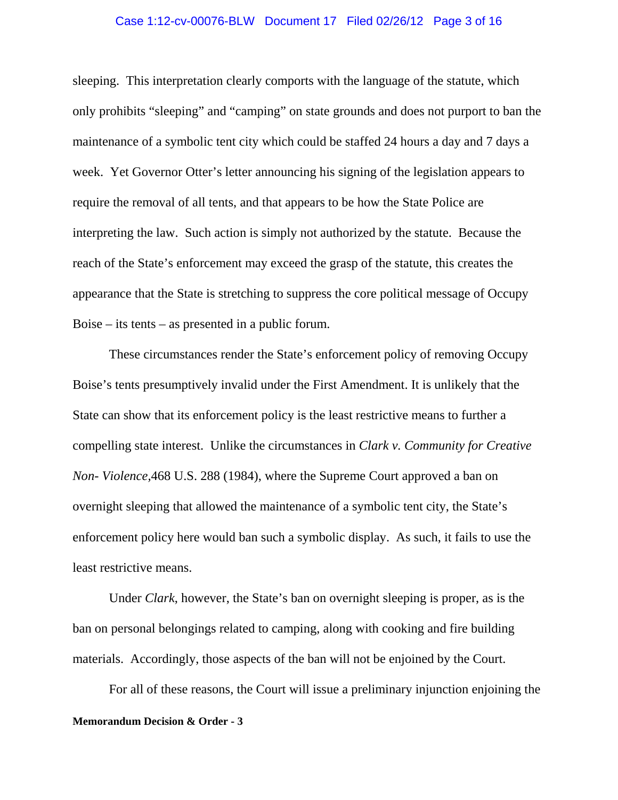#### Case 1:12-cv-00076-BLW Document 17 Filed 02/26/12 Page 3 of 16

sleeping. This interpretation clearly comports with the language of the statute, which only prohibits "sleeping" and "camping" on state grounds and does not purport to ban the maintenance of a symbolic tent city which could be staffed 24 hours a day and 7 days a week. Yet Governor Otter's letter announcing his signing of the legislation appears to require the removal of all tents, and that appears to be how the State Police are interpreting the law. Such action is simply not authorized by the statute. Because the reach of the State's enforcement may exceed the grasp of the statute, this creates the appearance that the State is stretching to suppress the core political message of Occupy Boise – its tents – as presented in a public forum.

These circumstances render the State's enforcement policy of removing Occupy Boise's tents presumptively invalid under the First Amendment. It is unlikely that the State can show that its enforcement policy is the least restrictive means to further a compelling state interest. Unlike the circumstances in *Clark v. Community for Creative Non- Violence,*468 U.S. 288 (1984), where the Supreme Court approved a ban on overnight sleeping that allowed the maintenance of a symbolic tent city, the State's enforcement policy here would ban such a symbolic display. As such, it fails to use the least restrictive means.

Under *Clark*, however, the State's ban on overnight sleeping is proper, as is the ban on personal belongings related to camping, along with cooking and fire building materials. Accordingly, those aspects of the ban will not be enjoined by the Court.

For all of these reasons, the Court will issue a preliminary injunction enjoining the **Memorandum Decision & Order - 3**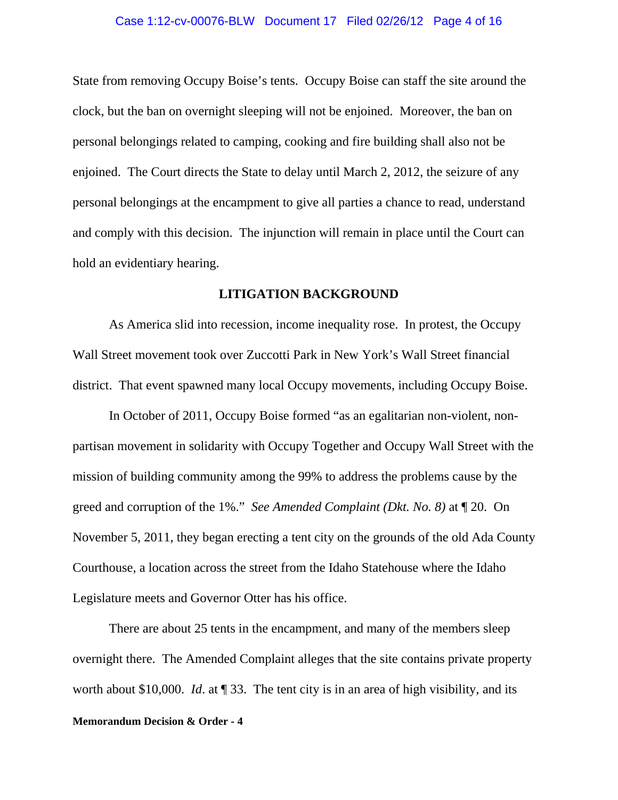#### Case 1:12-cv-00076-BLW Document 17 Filed 02/26/12 Page 4 of 16

State from removing Occupy Boise's tents. Occupy Boise can staff the site around the clock, but the ban on overnight sleeping will not be enjoined. Moreover, the ban on personal belongings related to camping, cooking and fire building shall also not be enjoined. The Court directs the State to delay until March 2, 2012, the seizure of any personal belongings at the encampment to give all parties a chance to read, understand and comply with this decision. The injunction will remain in place until the Court can hold an evidentiary hearing.

## **LITIGATION BACKGROUND**

As America slid into recession, income inequality rose. In protest, the Occupy Wall Street movement took over Zuccotti Park in New York's Wall Street financial district. That event spawned many local Occupy movements, including Occupy Boise.

In October of 2011, Occupy Boise formed "as an egalitarian non-violent, nonpartisan movement in solidarity with Occupy Together and Occupy Wall Street with the mission of building community among the 99% to address the problems cause by the greed and corruption of the 1%." *See Amended Complaint (Dkt. No. 8)* at ¶ 20. On November 5, 2011, they began erecting a tent city on the grounds of the old Ada County Courthouse, a location across the street from the Idaho Statehouse where the Idaho Legislature meets and Governor Otter has his office.

There are about 25 tents in the encampment, and many of the members sleep overnight there. The Amended Complaint alleges that the site contains private property worth about \$10,000. *Id*. at ¶ 33. The tent city is in an area of high visibility, and its **Memorandum Decision & Order - 4**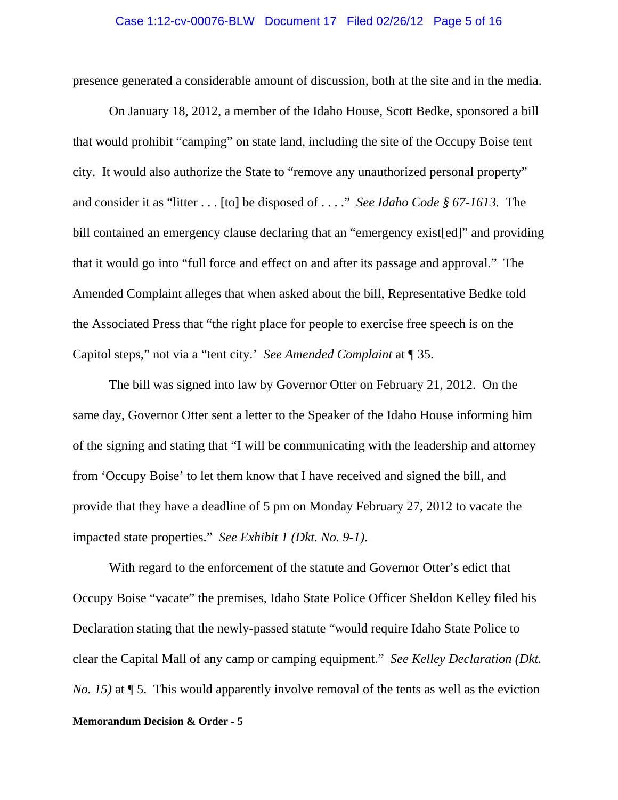#### Case 1:12-cv-00076-BLW Document 17 Filed 02/26/12 Page 5 of 16

presence generated a considerable amount of discussion, both at the site and in the media.

On January 18, 2012, a member of the Idaho House, Scott Bedke, sponsored a bill that would prohibit "camping" on state land, including the site of the Occupy Boise tent city. It would also authorize the State to "remove any unauthorized personal property" and consider it as "litter . . . [to] be disposed of . . . ." *See Idaho Code § 67-1613.* The bill contained an emergency clause declaring that an "emergency exist[ed]" and providing that it would go into "full force and effect on and after its passage and approval." The Amended Complaint alleges that when asked about the bill, Representative Bedke told the Associated Press that "the right place for people to exercise free speech is on the Capitol steps," not via a "tent city.' *See Amended Complaint* at ¶ 35.

The bill was signed into law by Governor Otter on February 21, 2012. On the same day, Governor Otter sent a letter to the Speaker of the Idaho House informing him of the signing and stating that "I will be communicating with the leadership and attorney from 'Occupy Boise' to let them know that I have received and signed the bill, and provide that they have a deadline of 5 pm on Monday February 27, 2012 to vacate the impacted state properties." *See Exhibit 1 (Dkt. No. 9-1)*.

With regard to the enforcement of the statute and Governor Otter's edict that Occupy Boise "vacate" the premises, Idaho State Police Officer Sheldon Kelley filed his Declaration stating that the newly-passed statute "would require Idaho State Police to clear the Capital Mall of any camp or camping equipment." *See Kelley Declaration (Dkt. No. 15)* at  $\P$  5. This would apparently involve removal of the tents as well as the eviction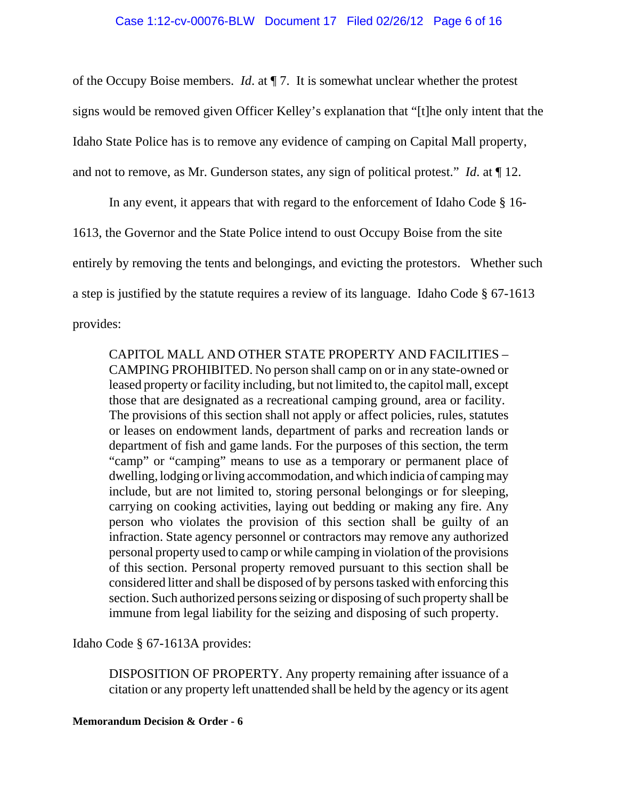of the Occupy Boise members. *Id*. at ¶ 7. It is somewhat unclear whether the protest signs would be removed given Officer Kelley's explanation that "[t]he only intent that the Idaho State Police has is to remove any evidence of camping on Capital Mall property, and not to remove, as Mr. Gunderson states, any sign of political protest." *Id*. at ¶ 12.

In any event, it appears that with regard to the enforcement of Idaho Code § 16- 1613, the Governor and the State Police intend to oust Occupy Boise from the site entirely by removing the tents and belongings, and evicting the protestors. Whether such a step is justified by the statute requires a review of its language. Idaho Code § 67-1613 provides:

CAPITOL MALL AND OTHER STATE PROPERTY AND FACILITIES – CAMPING PROHIBITED. No person shall camp on or in any state-owned or leased property or facility including, but not limited to, the capitol mall, except those that are designated as a recreational camping ground, area or facility. The provisions of this section shall not apply or affect policies, rules, statutes or leases on endowment lands, department of parks and recreation lands or department of fish and game lands. For the purposes of this section, the term "camp" or "camping" means to use as a temporary or permanent place of dwelling, lodging or living accommodation, and which indicia of camping may include, but are not limited to, storing personal belongings or for sleeping, carrying on cooking activities, laying out bedding or making any fire. Any person who violates the provision of this section shall be guilty of an infraction. State agency personnel or contractors may remove any authorized personal property used to camp or while camping in violation of the provisions of this section. Personal property removed pursuant to this section shall be considered litter and shall be disposed of by persons tasked with enforcing this section. Such authorized persons seizing or disposing of such property shall be immune from legal liability for the seizing and disposing of such property.

Idaho Code § 67-1613A provides:

DISPOSITION OF PROPERTY. Any property remaining after issuance of a citation or any property left unattended shall be held by the agency or its agent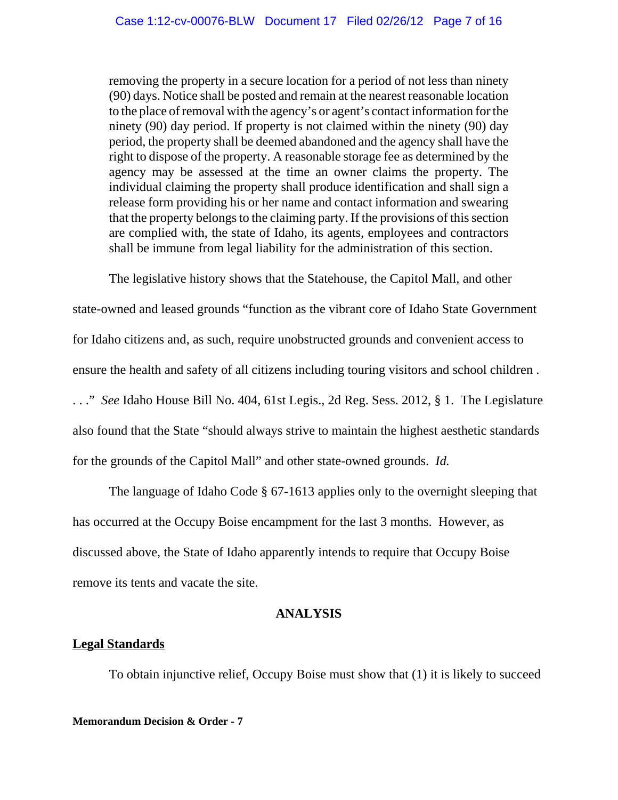removing the property in a secure location for a period of not less than ninety (90) days. Notice shall be posted and remain at the nearest reasonable location to the place of removal with the agency's or agent's contact information for the ninety (90) day period. If property is not claimed within the ninety (90) day period, the property shall be deemed abandoned and the agency shall have the right to dispose of the property. A reasonable storage fee as determined by the agency may be assessed at the time an owner claims the property. The individual claiming the property shall produce identification and shall sign a release form providing his or her name and contact information and swearing that the property belongs to the claiming party. If the provisions of this section are complied with, the state of Idaho, its agents, employees and contractors shall be immune from legal liability for the administration of this section.

The legislative history shows that the Statehouse, the Capitol Mall, and other

state-owned and leased grounds "function as the vibrant core of Idaho State Government for Idaho citizens and, as such, require unobstructed grounds and convenient access to ensure the health and safety of all citizens including touring visitors and school children . . . ." *See* Idaho House Bill No. 404, 61st Legis., 2d Reg. Sess. 2012, § 1. The Legislature also found that the State "should always strive to maintain the highest aesthetic standards for the grounds of the Capitol Mall" and other state-owned grounds. *Id.*

The language of Idaho Code § 67-1613 applies only to the overnight sleeping that has occurred at the Occupy Boise encampment for the last 3 months. However, as discussed above, the State of Idaho apparently intends to require that Occupy Boise remove its tents and vacate the site.

# **ANALYSIS**

# **Legal Standards**

To obtain injunctive relief, Occupy Boise must show that (1) it is likely to succeed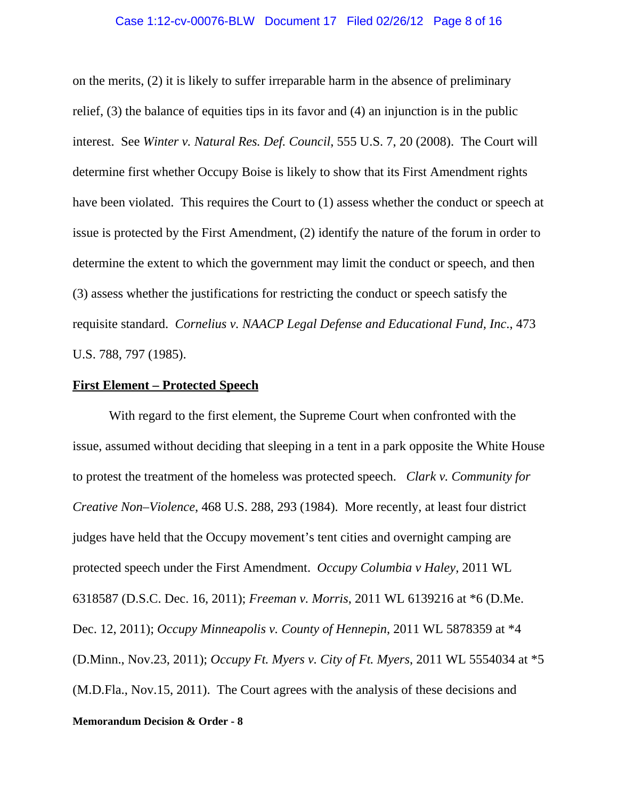# Case 1:12-cv-00076-BLW Document 17 Filed 02/26/12 Page 8 of 16

on the merits, (2) it is likely to suffer irreparable harm in the absence of preliminary relief, (3) the balance of equities tips in its favor and (4) an injunction is in the public interest. See *Winter v. Natural Res. Def. Council*, 555 U.S. 7, 20 (2008). The Court will determine first whether Occupy Boise is likely to show that its First Amendment rights have been violated. This requires the Court to (1) assess whether the conduct or speech at issue is protected by the First Amendment, (2) identify the nature of the forum in order to determine the extent to which the government may limit the conduct or speech, and then (3) assess whether the justifications for restricting the conduct or speech satisfy the requisite standard. *Cornelius v. NAACP Legal Defense and Educational Fund, Inc*., 473 U.S. 788, 797 (1985).

## **First Element – Protected Speech**

With regard to the first element, the Supreme Court when confronted with the issue, assumed without deciding that sleeping in a tent in a park opposite the White House to protest the treatment of the homeless was protected speech. *Clark v. Community for Creative Non–Violence*, 468 U.S. 288, 293 (1984). More recently, at least four district judges have held that the Occupy movement's tent cities and overnight camping are protected speech under the First Amendment. *Occupy Columbia v Haley,* 2011 WL 6318587 (D.S.C. Dec. 16, 2011); *Freeman v. Morris*, 2011 WL 6139216 at \*6 (D.Me. Dec. 12, 2011); *Occupy Minneapolis v. County of Hennepin*, 2011 WL 5878359 at \*4 (D.Minn., Nov.23, 2011); *Occupy Ft. Myers v. City of Ft. Myers*, 2011 WL 5554034 at \*5 (M.D.Fla., Nov.15, 2011). The Court agrees with the analysis of these decisions and **Memorandum Decision & Order - 8**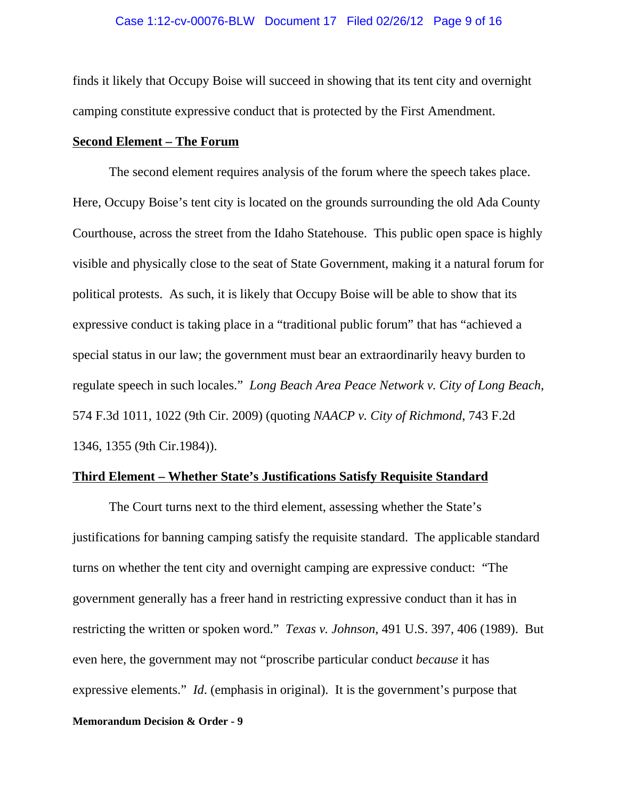finds it likely that Occupy Boise will succeed in showing that its tent city and overnight camping constitute expressive conduct that is protected by the First Amendment.

### **Second Element – The Forum**

The second element requires analysis of the forum where the speech takes place. Here, Occupy Boise's tent city is located on the grounds surrounding the old Ada County Courthouse, across the street from the Idaho Statehouse. This public open space is highly visible and physically close to the seat of State Government, making it a natural forum for political protests. As such, it is likely that Occupy Boise will be able to show that its expressive conduct is taking place in a "traditional public forum" that has "achieved a special status in our law; the government must bear an extraordinarily heavy burden to regulate speech in such locales." *Long Beach Area Peace Network v. City of Long Beach*, 574 F.3d 1011, 1022 (9th Cir. 2009) (quoting *NAACP v. City of Richmond*, 743 F.2d 1346, 1355 (9th Cir.1984)).

### **Third Element – Whether State's Justifications Satisfy Requisite Standard**

The Court turns next to the third element, assessing whether the State's justifications for banning camping satisfy the requisite standard. The applicable standard turns on whether the tent city and overnight camping are expressive conduct: "The government generally has a freer hand in restricting expressive conduct than it has in restricting the written or spoken word." *Texas v. Johnson*, 491 U.S. 397, 406 (1989). But even here, the government may not "proscribe particular conduct *because* it has expressive elements." *Id*. (emphasis in original). It is the government's purpose that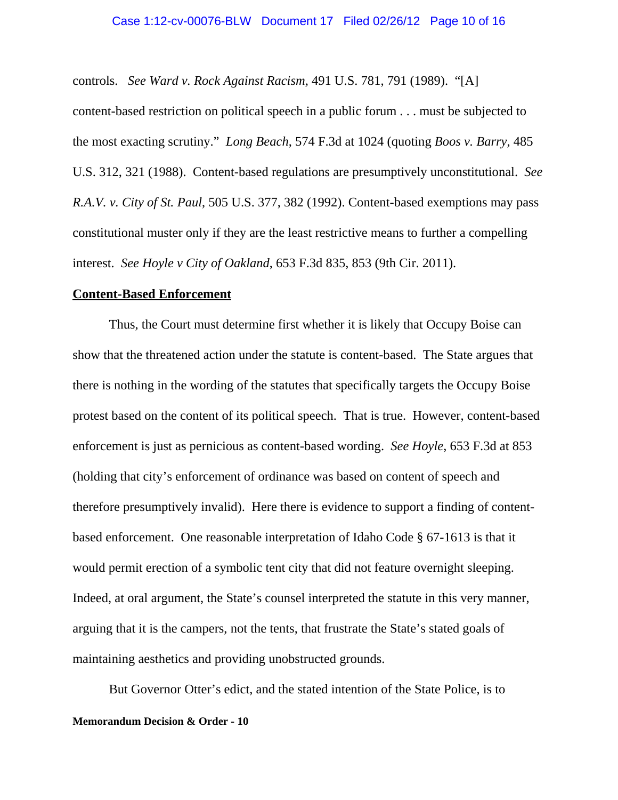#### Case 1:12-cv-00076-BLW Document 17 Filed 02/26/12 Page 10 of 16

controls. *See Ward v. Rock Against Racism,* 491 U.S. 781, 791 (1989). "[A] content-based restriction on political speech in a public forum . . . must be subjected to the most exacting scrutiny." *Long Beach*, 574 F.3d at 1024 (quoting *Boos v. Barry*, 485 U.S. 312, 321 (1988). Content-based regulations are presumptively unconstitutional. *See R.A.V. v. City of St. Paul*, 505 U.S. 377, 382 (1992). Content-based exemptions may pass constitutional muster only if they are the least restrictive means to further a compelling interest. *See Hoyle v City of Oakland*, 653 F.3d 835, 853 (9th Cir. 2011).

### **Content-Based Enforcement**

Thus, the Court must determine first whether it is likely that Occupy Boise can show that the threatened action under the statute is content-based. The State argues that there is nothing in the wording of the statutes that specifically targets the Occupy Boise protest based on the content of its political speech. That is true. However, content-based enforcement is just as pernicious as content-based wording. *See Hoyle*, 653 F.3d at 853 (holding that city's enforcement of ordinance was based on content of speech and therefore presumptively invalid). Here there is evidence to support a finding of contentbased enforcement. One reasonable interpretation of Idaho Code § 67-1613 is that it would permit erection of a symbolic tent city that did not feature overnight sleeping. Indeed, at oral argument, the State's counsel interpreted the statute in this very manner, arguing that it is the campers, not the tents, that frustrate the State's stated goals of maintaining aesthetics and providing unobstructed grounds.

But Governor Otter's edict, and the stated intention of the State Police, is to **Memorandum Decision & Order - 10**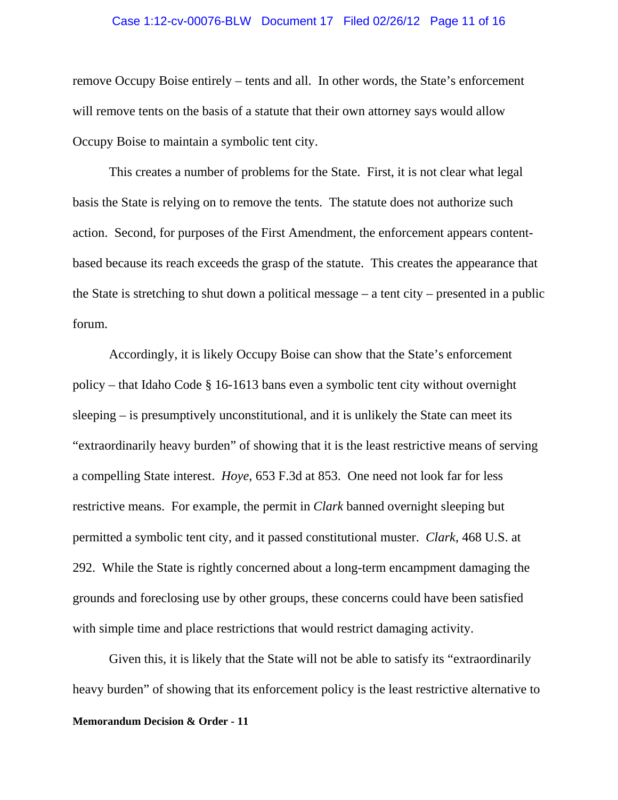#### Case 1:12-cv-00076-BLW Document 17 Filed 02/26/12 Page 11 of 16

remove Occupy Boise entirely – tents and all. In other words, the State's enforcement will remove tents on the basis of a statute that their own attorney says would allow Occupy Boise to maintain a symbolic tent city.

This creates a number of problems for the State. First, it is not clear what legal basis the State is relying on to remove the tents. The statute does not authorize such action. Second, for purposes of the First Amendment, the enforcement appears contentbased because its reach exceeds the grasp of the statute. This creates the appearance that the State is stretching to shut down a political message – a tent city – presented in a public forum.

Accordingly, it is likely Occupy Boise can show that the State's enforcement policy – that Idaho Code § 16-1613 bans even a symbolic tent city without overnight sleeping – is presumptively unconstitutional, and it is unlikely the State can meet its "extraordinarily heavy burden" of showing that it is the least restrictive means of serving a compelling State interest. *Hoye*, 653 F.3d at 853. One need not look far for less restrictive means. For example, the permit in *Clark* banned overnight sleeping but permitted a symbolic tent city, and it passed constitutional muster. *Clark*, 468 U.S. at 292. While the State is rightly concerned about a long-term encampment damaging the grounds and foreclosing use by other groups, these concerns could have been satisfied with simple time and place restrictions that would restrict damaging activity.

Given this, it is likely that the State will not be able to satisfy its "extraordinarily heavy burden" of showing that its enforcement policy is the least restrictive alternative to **Memorandum Decision & Order - 11**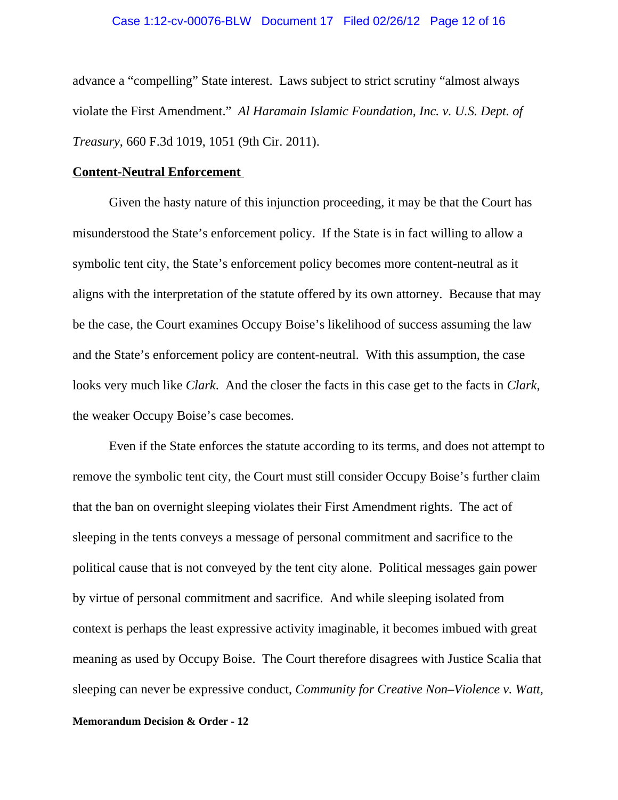#### Case 1:12-cv-00076-BLW Document 17 Filed 02/26/12 Page 12 of 16

advance a "compelling" State interest. Laws subject to strict scrutiny "almost always violate the First Amendment." *Al Haramain Islamic Foundation, Inc. v. U.S. Dept. of Treasury*, 660 F.3d 1019, 1051 (9th Cir. 2011).

#### **Content-Neutral Enforcement**

Given the hasty nature of this injunction proceeding, it may be that the Court has misunderstood the State's enforcement policy. If the State is in fact willing to allow a symbolic tent city, the State's enforcement policy becomes more content-neutral as it aligns with the interpretation of the statute offered by its own attorney. Because that may be the case, the Court examines Occupy Boise's likelihood of success assuming the law and the State's enforcement policy are content-neutral. With this assumption, the case looks very much like *Clark*. And the closer the facts in this case get to the facts in *Clark*, the weaker Occupy Boise's case becomes.

Even if the State enforces the statute according to its terms, and does not attempt to remove the symbolic tent city, the Court must still consider Occupy Boise's further claim that the ban on overnight sleeping violates their First Amendment rights. The act of sleeping in the tents conveys a message of personal commitment and sacrifice to the political cause that is not conveyed by the tent city alone. Political messages gain power by virtue of personal commitment and sacrifice. And while sleeping isolated from context is perhaps the least expressive activity imaginable, it becomes imbued with great meaning as used by Occupy Boise. The Court therefore disagrees with Justice Scalia that sleeping can never be expressive conduct, *Community for Creative Non–Violence v. Watt,*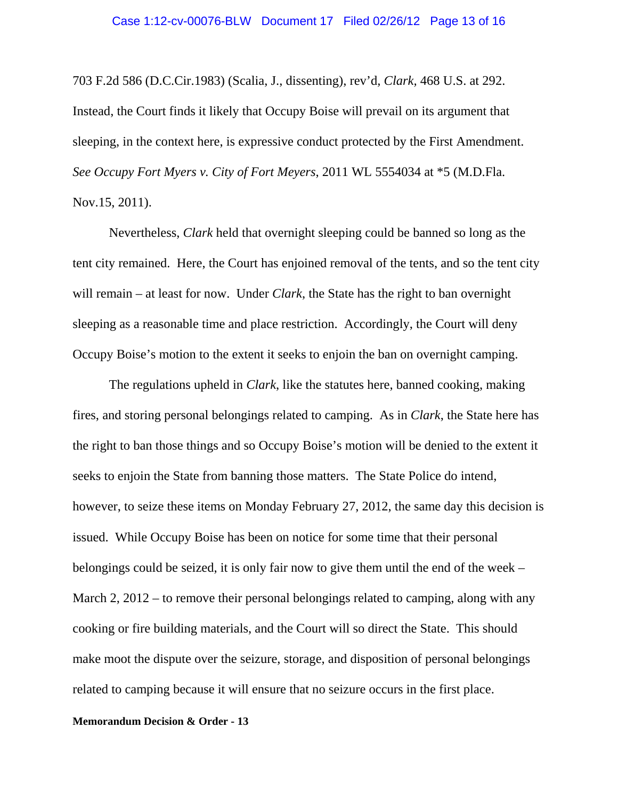703 F.2d 586 (D.C.Cir.1983) (Scalia, J., dissenting), rev'd*, Clark,* 468 U.S. at 292. Instead, the Court finds it likely that Occupy Boise will prevail on its argument that sleeping, in the context here, is expressive conduct protected by the First Amendment. *See Occupy Fort Myers v. City of Fort Meyers*, 2011 WL 5554034 at \*5 (M.D.Fla. Nov.15, 2011).

Nevertheless, *Clark* held that overnight sleeping could be banned so long as the tent city remained. Here, the Court has enjoined removal of the tents, and so the tent city will remain – at least for now. Under *Clark*, the State has the right to ban overnight sleeping as a reasonable time and place restriction. Accordingly, the Court will deny Occupy Boise's motion to the extent it seeks to enjoin the ban on overnight camping.

The regulations upheld in *Clark*, like the statutes here, banned cooking, making fires, and storing personal belongings related to camping. As in *Clark*, the State here has the right to ban those things and so Occupy Boise's motion will be denied to the extent it seeks to enjoin the State from banning those matters. The State Police do intend, however, to seize these items on Monday February 27, 2012, the same day this decision is issued. While Occupy Boise has been on notice for some time that their personal belongings could be seized, it is only fair now to give them until the end of the week – March 2, 2012 – to remove their personal belongings related to camping, along with any cooking or fire building materials, and the Court will so direct the State.This should make moot the dispute over the seizure, storage, and disposition of personal belongings related to camping because it will ensure that no seizure occurs in the first place.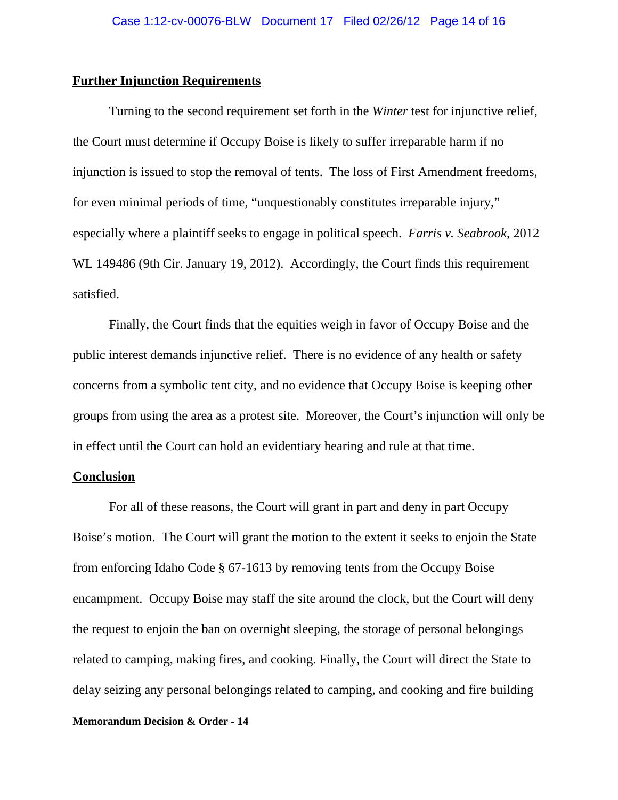## **Further Injunction Requirements**

Turning to the second requirement set forth in the *Winter* test for injunctive relief, the Court must determine if Occupy Boise is likely to suffer irreparable harm if no injunction is issued to stop the removal of tents. The loss of First Amendment freedoms, for even minimal periods of time, "unquestionably constitutes irreparable injury," especially where a plaintiff seeks to engage in political speech. *Farris v. Seabrook*, 2012 WL 149486 (9th Cir. January 19, 2012). Accordingly, the Court finds this requirement satisfied.

Finally, the Court finds that the equities weigh in favor of Occupy Boise and the public interest demands injunctive relief. There is no evidence of any health or safety concerns from a symbolic tent city, and no evidence that Occupy Boise is keeping other groups from using the area as a protest site. Moreover, the Court's injunction will only be in effect until the Court can hold an evidentiary hearing and rule at that time.

## **Conclusion**

For all of these reasons, the Court will grant in part and deny in part Occupy Boise's motion. The Court will grant the motion to the extent it seeks to enjoin the State from enforcing Idaho Code § 67-1613 by removing tents from the Occupy Boise encampment. Occupy Boise may staff the site around the clock, but the Court will deny the request to enjoin the ban on overnight sleeping, the storage of personal belongings related to camping, making fires, and cooking. Finally, the Court will direct the State to delay seizing any personal belongings related to camping, and cooking and fire building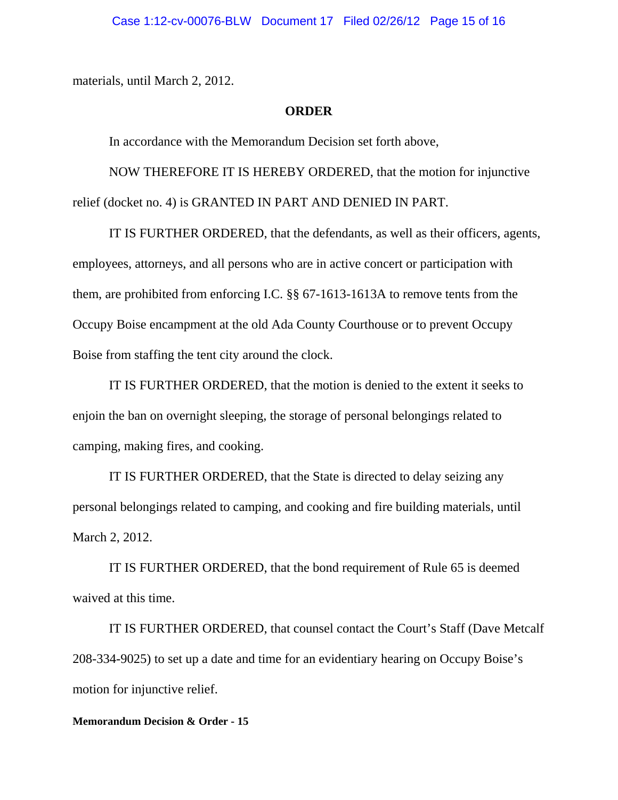materials, until March 2, 2012.

## **ORDER**

In accordance with the Memorandum Decision set forth above,

NOW THEREFORE IT IS HEREBY ORDERED, that the motion for injunctive relief (docket no. 4) is GRANTED IN PART AND DENIED IN PART.

IT IS FURTHER ORDERED, that the defendants, as well as their officers, agents, employees, attorneys, and all persons who are in active concert or participation with them, are prohibited from enforcing I.C. §§ 67-1613-1613A to remove tents from the Occupy Boise encampment at the old Ada County Courthouse or to prevent Occupy Boise from staffing the tent city around the clock.

IT IS FURTHER ORDERED, that the motion is denied to the extent it seeks to enjoin the ban on overnight sleeping, the storage of personal belongings related to camping, making fires, and cooking.

IT IS FURTHER ORDERED, that the State is directed to delay seizing any personal belongings related to camping, and cooking and fire building materials, until March 2, 2012.

IT IS FURTHER ORDERED, that the bond requirement of Rule 65 is deemed waived at this time.

IT IS FURTHER ORDERED, that counsel contact the Court's Staff (Dave Metcalf 208-334-9025) to set up a date and time for an evidentiary hearing on Occupy Boise's motion for injunctive relief.